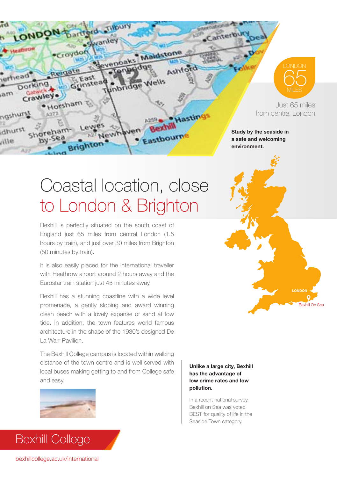

9 **LONDON**

Bexhill On Sea

Just 65 miles from central London

**Study by the seaside in a safe and welcoming environment.**

## Coastal location, close to London & Brighton

**Maldston** 

Nells

Presti

Eastbourn

Ashford

Hastin

Bexhill is perfectly situated on the south coast of England just 65 miles from central London (1.5 hours by train), and just over 30 miles from Brighton (50 minutes by train).

swanie

venoak

lewh

Croydon

East

Grinster

Reiga

. Horsham

It is also easily placed for the international traveller with Heathrow airport around 2 hours away and the Eurostar train station just 45 minutes away.

Bexhill has a stunning coastline with a wide level promenade, a gently sloping and award winning clean beach with a lovely expanse of sand at low tide. In addition, the town features world famous architecture in the shape of the 1930's designed De La Warr Pavilion.

The Bexhill College campus is located within walking distance of the town centre and is well served with local buses making getting to and from College safe and easy.



## **Unlike a large city, Bexhill has the advantage of low crime rates and low pollution.**

In a recent national survey, Bexhill on Sea was voted BEST for quality of life in the Seaside Town category.



Bexhill College

LONDON

**Dorking** 

Crawley.

shoreham

by-Sea

erhead<sup>®</sup>

ngshurst

dhurst

 $\lambda$ 33

alli

 $m<sub>6</sub>$ 

*c* anter